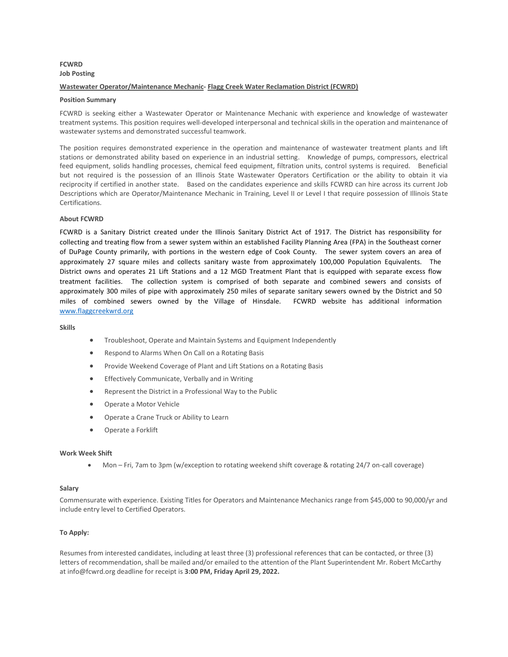### **FCWRD Job Posting**

### **Wastewater Operator/Maintenance Mechanic- Flagg Creek Water Reclamation District (FCWRD)**

### **Position Summary**

FCWRD is seeking either a Wastewater Operator or Maintenance Mechanic with experience and knowledge of wastewater treatment systems. This position requires well-developed interpersonal and technical skills in the operation and maintenance of wastewater systems and demonstrated successful teamwork.

The position requires demonstrated experience in the operation and maintenance of wastewater treatment plants and lift stations or demonstrated ability based on experience in an industrial setting. Knowledge of pumps, compressors, electrical feed equipment, solids handling processes, chemical feed equipment, filtration units, control systems is required. Beneficial but not required is the possession of an Illinois State Wastewater Operators Certification or the ability to obtain it via reciprocity if certified in another state. Based on the candidates experience and skills FCWRD can hire across its current Job Descriptions which are Operator/Maintenance Mechanic in Training, Level II or Level I that require possession of Illinois State Certifications.

### **About FCWRD**

FCWRD is a Sanitary District created under the Illinois Sanitary District Act of 1917. The District has responsibility for collecting and treating flow from a sewer system within an established Facility Planning Area (FPA) in the Southeast corner of DuPage County primarily, with portions in the western edge of Cook County. The sewer system covers an area of approximately 27 square miles and collects sanitary waste from approximately 100,000 Population Equivalents. The District owns and operates 21 Lift Stations and a 12 MGD Treatment Plant that is equipped with separate excess flow treatment facilities. The collection system is comprised of both separate and combined sewers and consists of approximately 300 miles of pipe with approximately 250 miles of separate sanitary sewers owned by the District and 50 miles of combined sewers owned by the Village of Hinsdale. FCWRD website has additional information [www.flaggcreekwrd.org](http://www.flaggcreekwrd.org/)

**Skills**

- Troubleshoot, Operate and Maintain Systems and Equipment Independently
- Respond to Alarms When On Call on a Rotating Basis
- Provide Weekend Coverage of Plant and Lift Stations on a Rotating Basis
- **Effectively Communicate, Verbally and in Writing**
- Represent the District in a Professional Way to the Public
- Operate a Motor Vehicle
- Operate a Crane Truck or Ability to Learn
- Operate a Forklift

### **Work Week Shift**

• Mon – Fri, 7am to 3pm (w/exception to rotating weekend shift coverage & rotating 24/7 on-call coverage)

### **Salary**

Commensurate with experience. Existing Titles for Operators and Maintenance Mechanics range from \$45,000 to 90,000/yr and include entry level to Certified Operators.

### **To Apply:**

Resumes from interested candidates, including at least three (3) professional references that can be contacted, or three (3) letters of recommendation, shall be mailed and/or emailed to the attention of the Plant Superintendent Mr. Robert McCarthy at info@fcwrd.org deadline for receipt is **3:00 PM, Friday April 29, 2022.**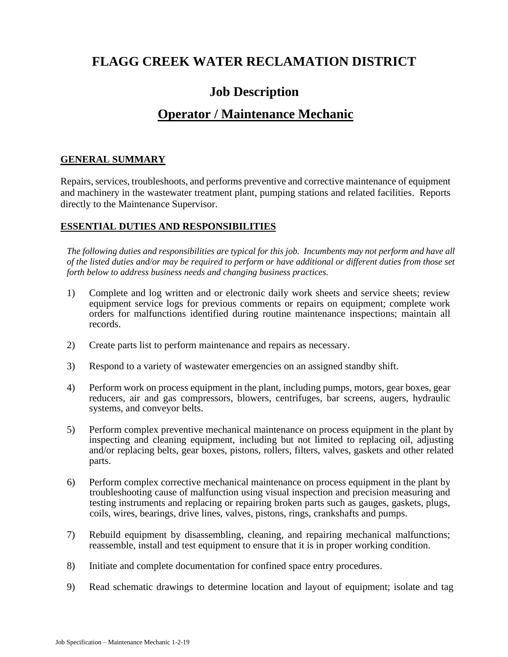# **FLAGG CREEK WATER RECLAMATION DISTRICT**

# **Job Description**

# **Operator / Maintenance Mechanic**

# **GENERAL SUMMARY**

Repairs, services, troubleshoots, and performs preventive and corrective maintenance of equipment and machinery in the wastewater treatment plant, pumping stations and related facilities. Reports directly to the Maintenance Supervisor.

# **ESSENTIAL DUTIES AND RESPONSIBILITIES**

*The following duties and responsibilities are typical for this job. Incumbents may not perform and have all of the listed duties and/or may be required to perform or have additional or different duties from those set forth below to address business needs and changing business practices.*

- 1) Complete and log written and or electronic daily work sheets and service sheets; review equipment service logs for previous comments or repairs on equipment; complete work orders for malfunctions identified during routine maintenance inspections; maintain all records.
- 2) Create parts list to perform maintenance and repairs as necessary.
- 3) Respond to a variety of wastewater emergencies on an assigned standby shift.
- 4) Perform work on process equipment in the plant, including pumps, motors, gear boxes, gear reducers, air and gas compressors, blowers, centrifuges, bar screens, augers, hydraulic systems, and conveyor belts.
- 5) Perform complex preventive mechanical maintenance on process equipment in the plant by inspecting and cleaning equipment, including but not limited to replacing oil, adjusting and/or replacing belts, gear boxes, pistons, rollers, filters, valves, gaskets and other related parts.
- 6) Perform complex corrective mechanical maintenance on process equipment in the plant by troubleshooting cause of malfunction using visual inspection and precision measuring and testing instruments and replacing or repairing broken parts such as gauges, gaskets, plugs, coils, wires, bearings, drive lines, valves, pistons, rings, crankshafts and pumps.
- 7) Rebuild equipment by disassembling, cleaning, and repairing mechanical malfunctions; reassemble, install and test equipment to ensure that it is in proper working condition.
- 8) Initiate and complete documentation for confined space entry procedures.
- 9) Read schematic drawings to determine location and layout of equipment; isolate and tag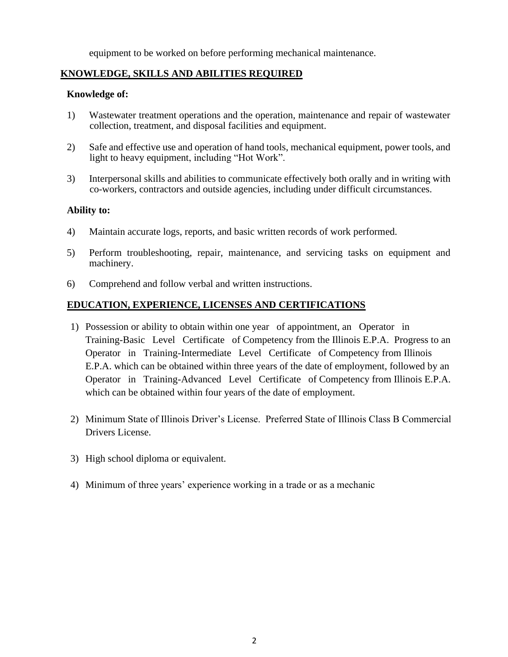equipment to be worked on before performing mechanical maintenance.

# **KNOWLEDGE, SKILLS AND ABILITIES REQUIRED**

### **Knowledge of:**

- 1) Wastewater treatment operations and the operation, maintenance and repair of wastewater collection, treatment, and disposal facilities and equipment.
- 2) Safe and effective use and operation of hand tools, mechanical equipment, power tools, and light to heavy equipment, including "Hot Work".
- 3) Interpersonal skills and abilities to communicate effectively both orally and in writing with co-workers, contractors and outside agencies, including under difficult circumstances.

### **Ability to:**

- 4) Maintain accurate logs, reports, and basic written records of work performed.
- 5) Perform troubleshooting, repair, maintenance, and servicing tasks on equipment and machinery.
- 6) Comprehend and follow verbal and written instructions.

### **EDUCATION, EXPERIENCE, LICENSES AND CERTIFICATIONS**

- 1) Possession or ability to obtain within one year of appointment, an Operator in Training-Basic Level Certificate of Competency from the Illinois E.P.A. Progress to an Operator in Training-Intermediate Level Certificate of Competency from Illinois E.P.A. which can be obtained within three years of the date of employment, followed by an Operator in Training-Advanced Level Certificate of Competency from Illinois E.P.A. which can be obtained within four years of the date of employment.
- 2) Minimum State of Illinois Driver's License. Preferred State of Illinois Class B Commercial Drivers License.
- 3) High school diploma or equivalent.
- 4) Minimum of three years' experience working in a trade or as a mechanic